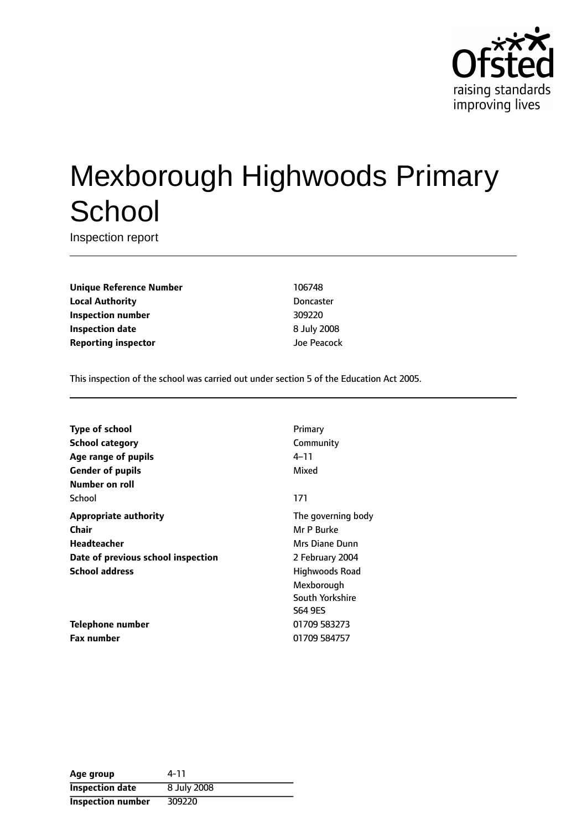

# Mexborough Highwoods Primary **School**

Inspection report

**Unique Reference Number** 106748 **Local Authority** Doncaster **Inspection number** 309220 **Inspection date** 8 July 2008 **Reporting inspector and a structure of the US** and Joe Peacock

This inspection of the school was carried out under section 5 of the Education Act 2005.

| Type of school                     | Primary            |
|------------------------------------|--------------------|
| <b>School category</b>             | Community          |
| Age range of pupils                | 4–11               |
| <b>Gender of pupils</b>            | Mixed              |
| Number on roll                     |                    |
| School                             | 171                |
| <b>Appropriate authority</b>       | The governing body |
| Chair                              | Mr P Burke         |
| Headteacher                        | Mrs Diane Dunn     |
| Date of previous school inspection | 2 February 2004    |
| <b>School address</b>              | Highwoods Road     |
|                                    | Mexborough         |
|                                    | South Yorkshire    |
|                                    | <b>S64 9ES</b>     |
| Telephone number                   | 01709 583273       |
| <b>Fax number</b>                  | 01709 584757       |
|                                    |                    |

| Age group                | 4-11        |
|--------------------------|-------------|
| <b>Inspection date</b>   | 8 July 2008 |
| <b>Inspection number</b> | 309220      |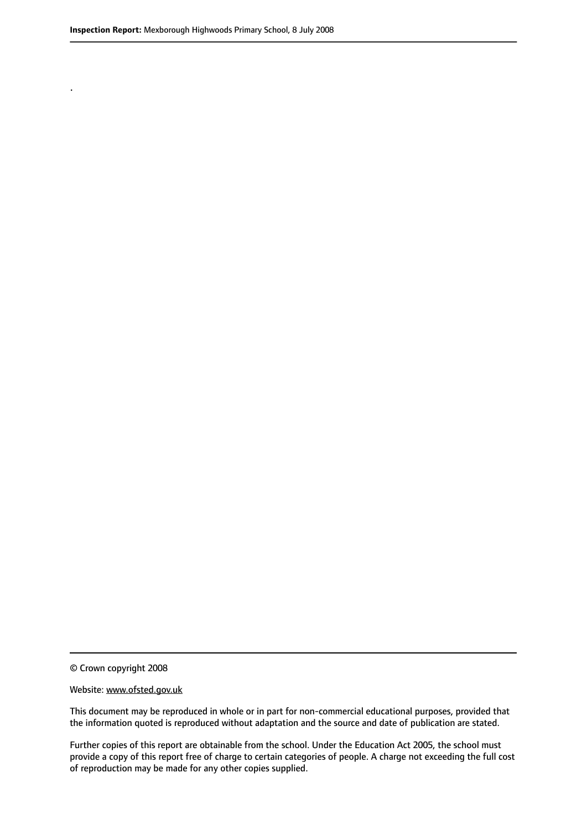.

© Crown copyright 2008

#### Website: www.ofsted.gov.uk

This document may be reproduced in whole or in part for non-commercial educational purposes, provided that the information quoted is reproduced without adaptation and the source and date of publication are stated.

Further copies of this report are obtainable from the school. Under the Education Act 2005, the school must provide a copy of this report free of charge to certain categories of people. A charge not exceeding the full cost of reproduction may be made for any other copies supplied.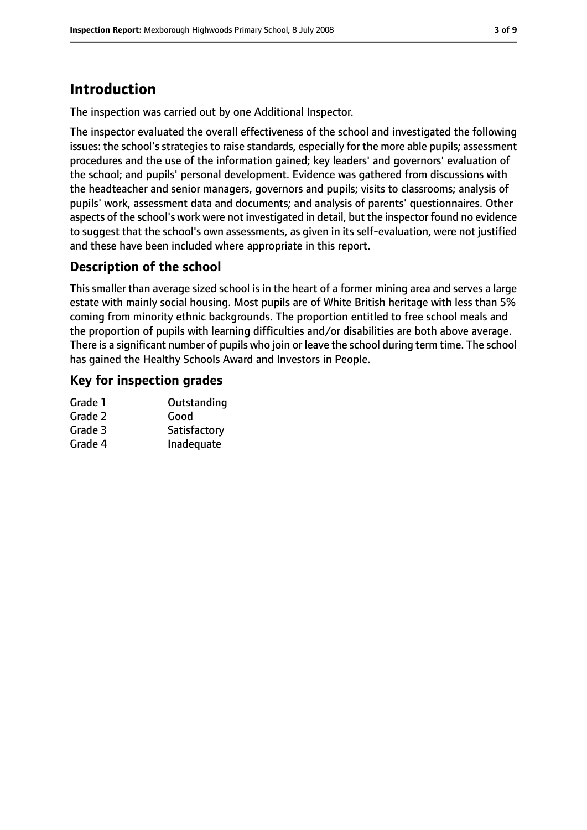## **Introduction**

The inspection was carried out by one Additional Inspector.

The inspector evaluated the overall effectiveness of the school and investigated the following issues: the school's strategies to raise standards, especially for the more able pupils; assessment procedures and the use of the information gained; key leaders' and governors' evaluation of the school; and pupils' personal development. Evidence was gathered from discussions with the headteacher and senior managers, governors and pupils; visits to classrooms; analysis of pupils' work, assessment data and documents; and analysis of parents' questionnaires. Other aspects of the school's work were not investigated in detail, but the inspector found no evidence to suggest that the school's own assessments, as given in its self-evaluation, were not justified and these have been included where appropriate in this report.

#### **Description of the school**

This smaller than average sized school is in the heart of a former mining area and serves a large estate with mainly social housing. Most pupils are of White British heritage with less than 5% coming from minority ethnic backgrounds. The proportion entitled to free school meals and the proportion of pupils with learning difficulties and/or disabilities are both above average. There is a significant number of pupils who join or leave the school during term time. The school has gained the Healthy Schools Award and Investors in People.

#### **Key for inspection grades**

| Grade 1 | Outstanding  |
|---------|--------------|
| Grade 2 | Good         |
| Grade 3 | Satisfactory |
| Grade 4 | Inadequate   |
|         |              |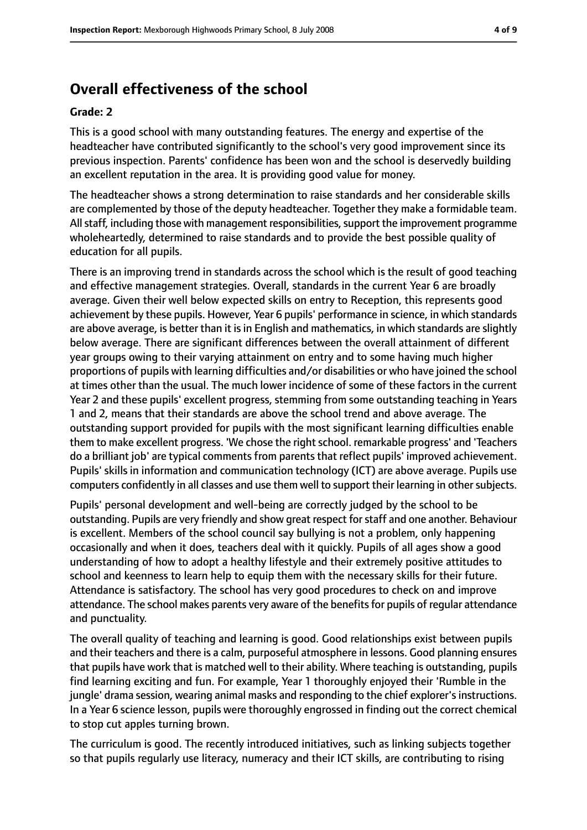## **Overall effectiveness of the school**

#### **Grade: 2**

This is a good school with many outstanding features. The energy and expertise of the headteacher have contributed significantly to the school's very good improvement since its previous inspection. Parents' confidence has been won and the school is deservedly building an excellent reputation in the area. It is providing good value for money.

The headteacher shows a strong determination to raise standards and her considerable skills are complemented by those of the deputy headteacher. Together they make a formidable team. All staff, including those with management responsibilities, support the improvement programme wholeheartedly, determined to raise standards and to provide the best possible quality of education for all pupils.

There is an improving trend in standards across the school which is the result of good teaching and effective management strategies. Overall, standards in the current Year 6 are broadly average. Given their well below expected skills on entry to Reception, this represents good achievement by these pupils. However, Year 6 pupils' performance in science, in which standards are above average, is better than it is in English and mathematics, in which standards are slightly below average. There are significant differences between the overall attainment of different year groups owing to their varying attainment on entry and to some having much higher proportions of pupils with learning difficulties and/or disabilities or who have joined the school at times other than the usual. The much lower incidence of some of these factors in the current Year 2 and these pupils' excellent progress, stemming from some outstanding teaching in Years 1 and 2, means that their standards are above the school trend and above average. The outstanding support provided for pupils with the most significant learning difficulties enable them to make excellent progress. 'We chose the right school. remarkable progress' and 'Teachers do a brilliant job' are typical comments from parents that reflect pupils' improved achievement. Pupils' skills in information and communication technology (ICT) are above average. Pupils use computers confidently in all classes and use them well to support their learning in other subjects.

Pupils' personal development and well-being are correctly judged by the school to be outstanding. Pupils are very friendly and show great respect forstaff and one another. Behaviour is excellent. Members of the school council say bullying is not a problem, only happening occasionally and when it does, teachers deal with it quickly. Pupils of all ages show a good understanding of how to adopt a healthy lifestyle and their extremely positive attitudes to school and keenness to learn help to equip them with the necessary skills for their future. Attendance is satisfactory. The school has very good procedures to check on and improve attendance. The school makes parents very aware of the benefits for pupils of regular attendance and punctuality.

The overall quality of teaching and learning is good. Good relationships exist between pupils and their teachers and there is a calm, purposeful atmosphere in lessons. Good planning ensures that pupils have work that is matched well to their ability. Where teaching is outstanding, pupils find learning exciting and fun. For example, Year 1 thoroughly enjoyed their 'Rumble in the jungle' drama session, wearing animal masks and responding to the chief explorer's instructions. In a Year 6 science lesson, pupils were thoroughly engrossed in finding out the correct chemical to stop cut apples turning brown.

The curriculum is good. The recently introduced initiatives, such as linking subjects together so that pupils regularly use literacy, numeracy and their ICT skills, are contributing to rising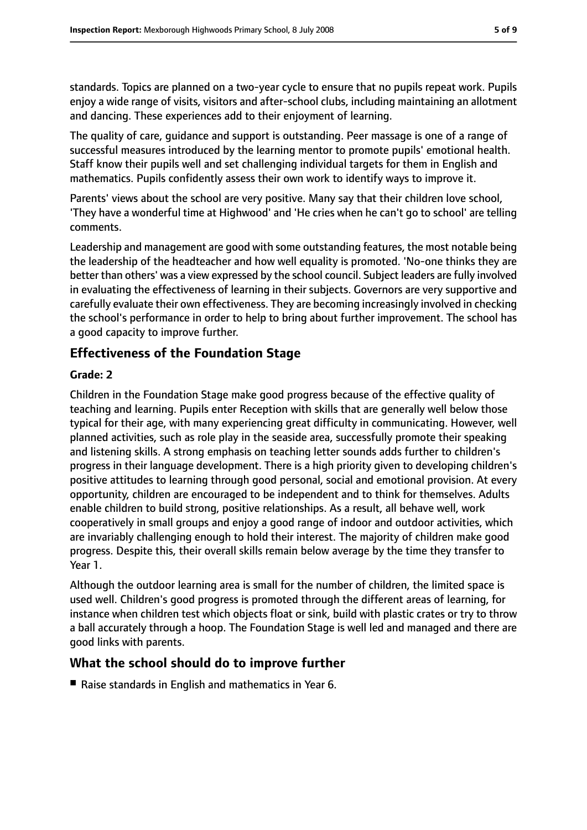standards. Topics are planned on a two-year cycle to ensure that no pupils repeat work. Pupils enjoy a wide range of visits, visitors and after-school clubs, including maintaining an allotment and dancing. These experiences add to their enjoyment of learning.

The quality of care, guidance and support is outstanding. Peer massage is one of a range of successful measures introduced by the learning mentor to promote pupils' emotional health. Staff know their pupils well and set challenging individual targets for them in English and mathematics. Pupils confidently assess their own work to identify ways to improve it.

Parents' views about the school are very positive. Many say that their children love school, 'They have a wonderful time at Highwood' and 'He cries when he can't go to school' are telling comments.

Leadership and management are good with some outstanding features, the most notable being the leadership of the headteacher and how well equality is promoted. 'No-one thinks they are better than others' was a view expressed by the school council. Subject leaders are fully involved in evaluating the effectiveness of learning in their subjects. Governors are very supportive and carefully evaluate their own effectiveness. They are becoming increasingly involved in checking the school's performance in order to help to bring about further improvement. The school has a good capacity to improve further.

#### **Effectiveness of the Foundation Stage**

#### **Grade: 2**

Children in the Foundation Stage make good progress because of the effective quality of teaching and learning. Pupils enter Reception with skills that are generally well below those typical for their age, with many experiencing great difficulty in communicating. However, well planned activities, such as role play in the seaside area, successfully promote their speaking and listening skills. A strong emphasis on teaching letter sounds adds further to children's progress in their language development. There is a high priority given to developing children's positive attitudes to learning through good personal, social and emotional provision. At every opportunity, children are encouraged to be independent and to think for themselves. Adults enable children to build strong, positive relationships. As a result, all behave well, work cooperatively in small groups and enjoy a good range of indoor and outdoor activities, which are invariably challenging enough to hold their interest. The majority of children make good progress. Despite this, their overall skills remain below average by the time they transfer to Year 1.

Although the outdoor learning area is small for the number of children, the limited space is used well. Children's good progress is promoted through the different areas of learning, for instance when children test which objects float or sink, build with plastic crates or try to throw a ball accurately through a hoop. The Foundation Stage is well led and managed and there are good links with parents.

#### **What the school should do to improve further**

■ Raise standards in English and mathematics in Year 6.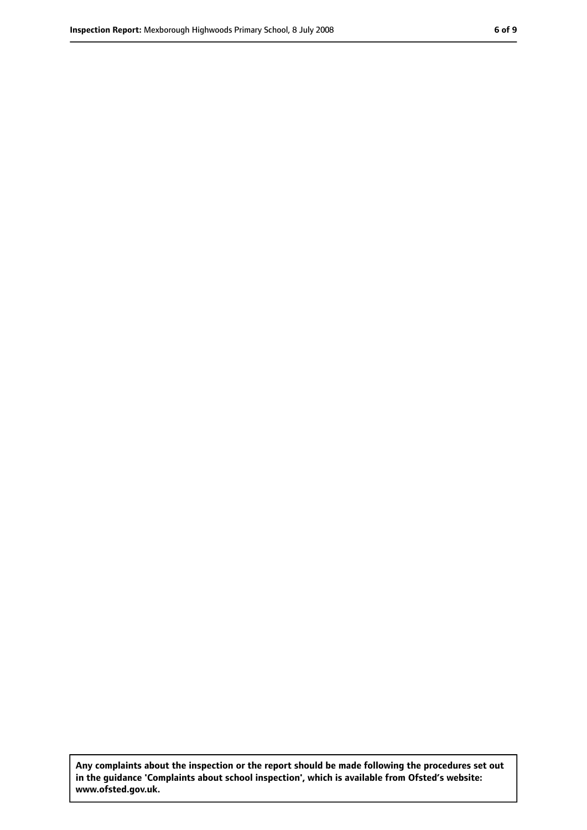**Any complaints about the inspection or the report should be made following the procedures set out in the guidance 'Complaints about school inspection', which is available from Ofsted's website: www.ofsted.gov.uk.**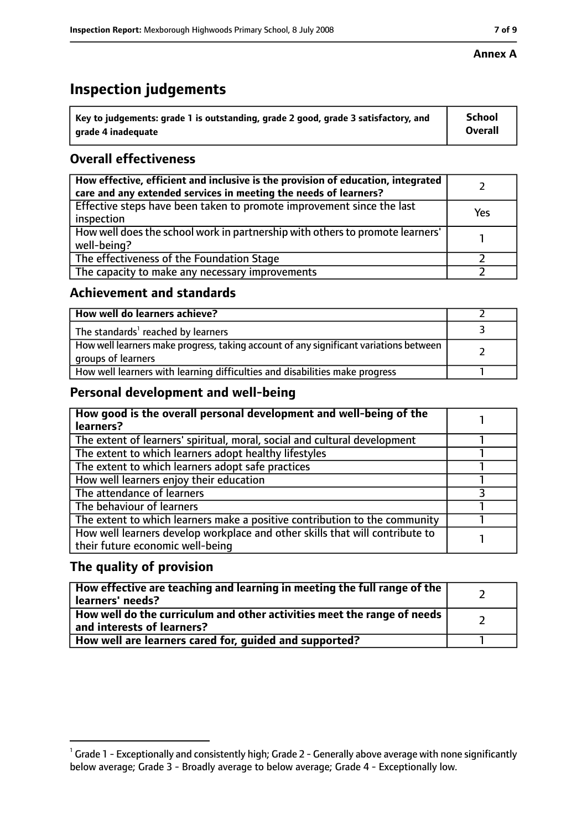## **Inspection judgements**

| $^{\backprime}$ Key to judgements: grade 1 is outstanding, grade 2 good, grade 3 satisfactory, and | <b>School</b>  |
|----------------------------------------------------------------------------------------------------|----------------|
| arade 4 inadeguate                                                                                 | <b>Overall</b> |

### **Overall effectiveness**

| How effective, efficient and inclusive is the provision of education, integrated<br>care and any extended services in meeting the needs of learners? |     |
|------------------------------------------------------------------------------------------------------------------------------------------------------|-----|
| Effective steps have been taken to promote improvement since the last<br>inspection                                                                  | Yes |
| How well does the school work in partnership with others to promote learners'<br>well-being?                                                         |     |
| The effectiveness of the Foundation Stage                                                                                                            |     |
| The capacity to make any necessary improvements                                                                                                      |     |

#### **Achievement and standards**

| How well do learners achieve?                                                                               |  |
|-------------------------------------------------------------------------------------------------------------|--|
| The standards <sup>1</sup> reached by learners                                                              |  |
| How well learners make progress, taking account of any significant variations between<br>groups of learners |  |
| How well learners with learning difficulties and disabilities make progress                                 |  |

#### **Personal development and well-being**

| How good is the overall personal development and well-being of the<br>learners?                                  |  |
|------------------------------------------------------------------------------------------------------------------|--|
| The extent of learners' spiritual, moral, social and cultural development                                        |  |
| The extent to which learners adopt healthy lifestyles                                                            |  |
| The extent to which learners adopt safe practices                                                                |  |
| How well learners enjoy their education                                                                          |  |
| The attendance of learners                                                                                       |  |
| The behaviour of learners                                                                                        |  |
| The extent to which learners make a positive contribution to the community                                       |  |
| How well learners develop workplace and other skills that will contribute to<br>their future economic well-being |  |

#### **The quality of provision**

| How effective are teaching and learning in meeting the full range of the<br>learners' needs?          |  |
|-------------------------------------------------------------------------------------------------------|--|
| How well do the curriculum and other activities meet the range of needs<br>and interests of learners? |  |
| How well are learners cared for, quided and supported?                                                |  |

 $^1$  Grade 1 - Exceptionally and consistently high; Grade 2 - Generally above average with none significantly below average; Grade 3 - Broadly average to below average; Grade 4 - Exceptionally low.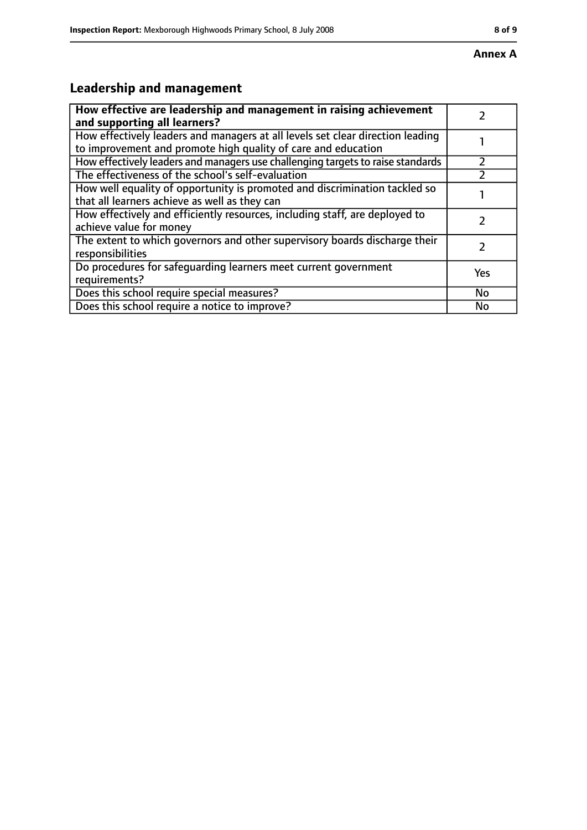## **Leadership and management**

| How effective are leadership and management in raising achievement              |     |
|---------------------------------------------------------------------------------|-----|
| and supporting all learners?                                                    |     |
| How effectively leaders and managers at all levels set clear direction leading  |     |
| to improvement and promote high quality of care and education                   |     |
| How effectively leaders and managers use challenging targets to raise standards |     |
| The effectiveness of the school's self-evaluation                               |     |
| How well equality of opportunity is promoted and discrimination tackled so      |     |
| that all learners achieve as well as they can                                   |     |
| How effectively and efficiently resources, including staff, are deployed to     |     |
| achieve value for money                                                         |     |
| The extent to which governors and other supervisory boards discharge their      |     |
| responsibilities                                                                |     |
| Do procedures for safequarding learners meet current government                 | Yes |
| requirements?                                                                   |     |
| Does this school require special measures?                                      | No  |
| Does this school require a notice to improve?                                   | No  |